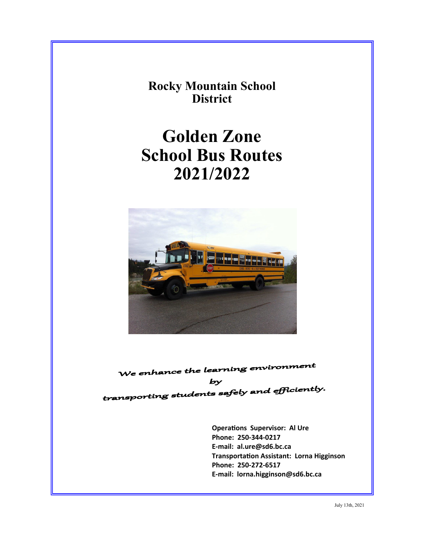**Rocky Mountain School District** 

# **Golden Zone School Bus Routes 2021/2022**



We enhance the learning environment

 $b**y**$ transporting students safely and efficiently.

> **OperaƟons Supervisor: Al Ure Phone: 250‐344‐0217 E‐mail: al.ure@sd6.bc.ca TransportaƟon Assistant: Lorna Higginson Phone: 250‐272‐6517 E‐mail: lorna.higginson@sd6.bc.ca**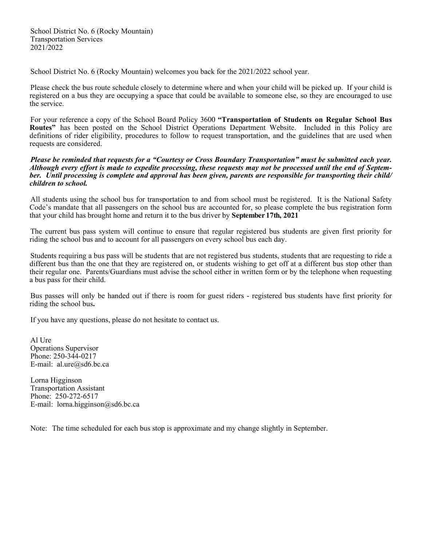School District No. 6 (Rocky Mountain) Transportation Services 2021/2022

School District No. 6 (Rocky Mountain) welcomes you back for the 2021/2022 school year.

Please check the bus route schedule closely to determine where and when your child will be picked up. If your child is registered on a bus they are occupying a space that could be available to someone else, so they are encouraged to use the service.

For your reference a copy of the School Board Policy 3600 **"Transportation of Students on Regular School Bus Routes"** has been posted on the School District Operations Department Website. Included in this Policy are definitions of rider eligibility, procedures to follow to request transportation, and the guidelines that are used when requests are considered.

*Please be reminded that requests for a "Courtesy or Cross Boundary Transportation" must be submitted each year. Although every effort is made to expedite processing, these requests may not be processed until the end of September. Until processing is complete and approval has been given, parents are responsible for transporting their child/ children to school.*

All students using the school bus for transportation to and from school must be registered. It is the National Safety Code's mandate that all passengers on the school bus are accounted for, so please complete the bus registration form that your child has brought home and return it to the bus driver by **September 17th, 2021** 

The current bus pass system will continue to ensure that regular registered bus students are given first priority for riding the school bus and to account for all passengers on every school bus each day.

Students requiring a bus pass will be students that are not registered bus students, students that are requesting to ride a different bus than the one that they are registered on, or students wishing to get off at a different bus stop other than their regular one. Parents/Guardians must advise the school either in written form or by the telephone when requesting a bus pass for their child.

Bus passes will only be handed out if there is room for guest riders - registered bus students have first priority for riding the school bus**.**

If you have any questions, please do not hesitate to contact us.

Al Ure Operations Supervisor Phone: 250-344-0217 E-mail: al.ure@sd6.bc.ca

Lorna Higginson Transportation Assistant Phone: 250-272-6517 E-mail: lorna.higginson@sd6.bc.ca

Note: The time scheduled for each bus stop is approximate and my change slightly in September.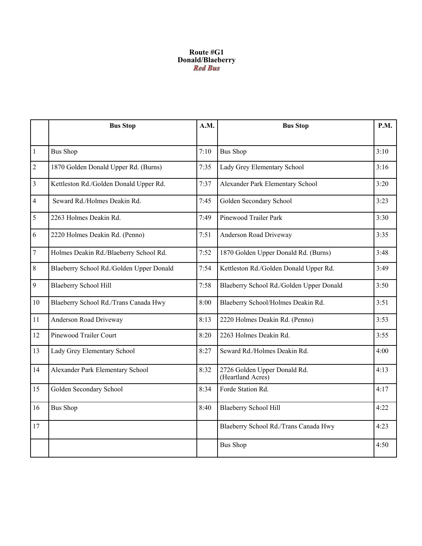## **Route #G1 Donald/Blaeberry**

|                | <b>Bus Stop</b>                          | A.M. | <b>Bus Stop</b>                                   | <b>P.M.</b> |
|----------------|------------------------------------------|------|---------------------------------------------------|-------------|
|                |                                          |      |                                                   |             |
| $\vert$ 1      | <b>Bus Shop</b>                          | 7:10 | <b>Bus Shop</b>                                   | 3:10        |
| $\overline{2}$ | 1870 Golden Donald Upper Rd. (Burns)     | 7:35 | Lady Grey Elementary School                       | 3:16        |
| $\overline{3}$ | Kettleston Rd./Golden Donald Upper Rd.   | 7:37 | Alexander Park Elementary School                  | 3:20        |
| $\overline{4}$ | Seward Rd./Holmes Deakin Rd.             | 7:45 | Golden Secondary School                           | 3:23        |
| 5              | 2263 Holmes Deakin Rd.                   | 7:49 | Pinewood Trailer Park                             | 3:30        |
| 6              | 2220 Holmes Deakin Rd. (Penno)           | 7:51 | Anderson Road Driveway                            | 3:35        |
| $\overline{7}$ | Holmes Deakin Rd./Blaeberry School Rd.   | 7:52 | 1870 Golden Upper Donald Rd. (Burns)              | 3:48        |
| 8              | Blaeberry School Rd./Golden Upper Donald | 7:54 | Kettleston Rd./Golden Donald Upper Rd.            | 3:49        |
| 9              | <b>Blaeberry School Hill</b>             | 7:58 | Blaeberry School Rd./Golden Upper Donald          | 3:50        |
| 10             | Blaeberry School Rd./Trans Canada Hwy    | 8:00 | Blaeberry School/Holmes Deakin Rd.                | 3:51        |
| 11             | Anderson Road Driveway                   | 8:13 | 2220 Holmes Deakin Rd. (Penno)                    | 3:53        |
| 12             | Pinewood Trailer Court                   | 8:20 | 2263 Holmes Deakin Rd.                            | 3:55        |
| 13             | Lady Grey Elementary School              | 8:27 | Seward Rd./Holmes Deakin Rd.                      | 4:00        |
| 14             | Alexander Park Elementary School         | 8:32 | 2726 Golden Upper Donald Rd.<br>(Heartland Acres) | 4:13        |
| 15             | Golden Secondary School                  | 8:34 | Forde Station Rd.                                 | 4:17        |
| 16             | <b>Bus Shop</b>                          | 8:40 | <b>Blaeberry School Hill</b>                      | 4:22        |
| 17             |                                          |      | Blaeberry School Rd./Trans Canada Hwy             | 4:23        |
|                |                                          |      | <b>Bus Shop</b>                                   | 4:50        |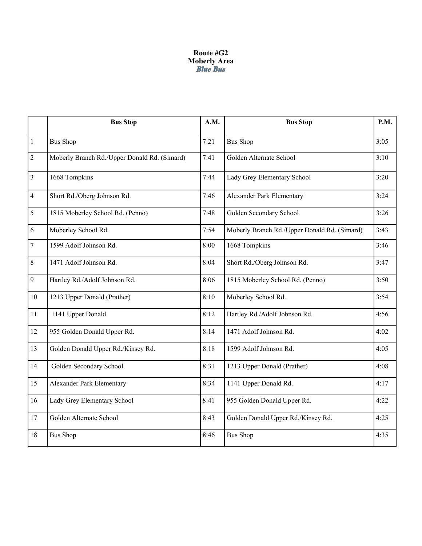# **Route #G2 Moberly Area**

|                | <b>Bus Stop</b>                              | A.M. | <b>Bus Stop</b>                              | <b>P.M.</b> |
|----------------|----------------------------------------------|------|----------------------------------------------|-------------|
| $\mathbf{1}$   | <b>Bus Shop</b>                              | 7:21 | <b>Bus Shop</b>                              | 3:05        |
| $\overline{c}$ | Moberly Branch Rd./Upper Donald Rd. (Simard) | 7:41 | Golden Alternate School                      | 3:10        |
| $\mathfrak{Z}$ | 1668 Tompkins                                | 7:44 | Lady Grey Elementary School                  | 3:20        |
| 4              | Short Rd./Oberg Johnson Rd.                  | 7:46 | Alexander Park Elementary                    | 3:24        |
| 5              | 1815 Moberley School Rd. (Penno)             | 7:48 | Golden Secondary School                      | 3:26        |
| 6              | Moberley School Rd.                          | 7:54 | Moberly Branch Rd./Upper Donald Rd. (Simard) | 3:43        |
| $\overline{7}$ | 1599 Adolf Johnson Rd.                       | 8:00 | 1668 Tompkins                                | 3:46        |
| 8              | 1471 Adolf Johnson Rd.                       | 8:04 | Short Rd./Oberg Johnson Rd.                  | 3:47        |
| 9              | Hartley Rd./Adolf Johnson Rd.                | 8:06 | 1815 Moberley School Rd. (Penno)             | 3:50        |
| 10             | 1213 Upper Donald (Prather)                  | 8:10 | Moberley School Rd.                          | 3:54        |
| 11             | 1141 Upper Donald                            | 8:12 | Hartley Rd./Adolf Johnson Rd.                | 4:56        |
| 12             | 955 Golden Donald Upper Rd.                  | 8:14 | 1471 Adolf Johnson Rd.                       | 4:02        |
| 13             | Golden Donald Upper Rd./Kinsey Rd.           | 8:18 | 1599 Adolf Johnson Rd.                       | 4:05        |
| 14             | Golden Secondary School                      | 8:31 | 1213 Upper Donald (Prather)                  | 4:08        |
| 15             | Alexander Park Elementary                    | 8:34 | 1141 Upper Donald Rd.                        | 4:17        |
| 16             | Lady Grey Elementary School                  | 8:41 | 955 Golden Donald Upper Rd.                  | 4:22        |
| 17             | Golden Alternate School                      | 8:43 | Golden Donald Upper Rd./Kinsey Rd.           | 4:25        |
| 18             | <b>Bus Shop</b>                              | 8:46 | <b>Bus Shop</b>                              | 4:35        |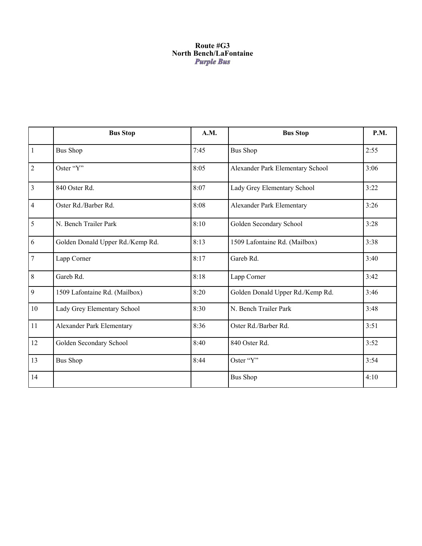## **Route #G3 North Bench/LaFontaine**

|                | <b>Bus Stop</b>                  | A.M. | <b>Bus Stop</b>                  | P.M. |
|----------------|----------------------------------|------|----------------------------------|------|
| $\vert$ 1      | <b>Bus Shop</b>                  | 7:45 | <b>Bus Shop</b>                  | 2:55 |
| $\overline{2}$ | Oster "Y"                        | 8:05 | Alexander Park Elementary School | 3:06 |
| $\overline{3}$ | 840 Oster Rd.                    | 8:07 | Lady Grey Elementary School      | 3:22 |
| $\overline{4}$ | Oster Rd./Barber Rd.             | 8:08 | <b>Alexander Park Elementary</b> | 3:26 |
| 5              | N. Bench Trailer Park            | 8:10 | Golden Secondary School          | 3:28 |
| 6              | Golden Donald Upper Rd./Kemp Rd. | 8:13 | 1509 Lafontaine Rd. (Mailbox)    | 3:38 |
| $\overline{7}$ | Lapp Corner                      | 8:17 | Gareb Rd.                        | 3:40 |
| $8\phantom{.}$ | Gareb Rd.                        | 8:18 | Lapp Corner                      | 3:42 |
| 9              | 1509 Lafontaine Rd. (Mailbox)    | 8:20 | Golden Donald Upper Rd./Kemp Rd. | 3:46 |
| 10             | Lady Grey Elementary School      | 8:30 | N. Bench Trailer Park            | 3:48 |
| 11             | Alexander Park Elementary        | 8:36 | Oster Rd./Barber Rd.             | 3:51 |
| 12             | Golden Secondary School          | 8:40 | 840 Oster Rd.                    | 3:52 |
| 13             | <b>Bus Shop</b>                  | 8:44 | Oster "Y"                        | 3:54 |
| 14             |                                  |      | <b>Bus Shop</b>                  | 4:10 |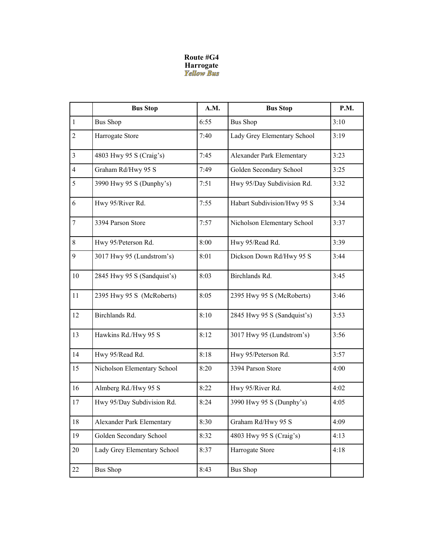# **Route #G4 Harrogate**<br>*Yellow Bus*

|                | <b>Bus Stop</b>             | A.M. | <b>Bus Stop</b>             | P.M. |
|----------------|-----------------------------|------|-----------------------------|------|
| $\mathbf{1}$   | <b>Bus Shop</b>             | 6:55 | <b>Bus Shop</b>             | 3:10 |
| $\overline{c}$ | Harrogate Store             | 7:40 | Lady Grey Elementary School | 3:19 |
| $\overline{3}$ | 4803 Hwy 95 S (Craig's)     | 7:45 | Alexander Park Elementary   | 3:23 |
| $\overline{4}$ | Graham Rd/Hwy 95 S          | 7:49 | Golden Secondary School     | 3:25 |
| 5              | 3990 Hwy 95 S (Dunphy's)    | 7:51 | Hwy 95/Day Subdivision Rd.  | 3:32 |
| 6              | Hwy 95/River Rd.            | 7:55 | Habart Subdivision/Hwy 95 S | 3:34 |
| $\tau$         | 3394 Parson Store           | 7:57 | Nicholson Elementary School | 3:37 |
| 8              | Hwy 95/Peterson Rd.         | 8:00 | Hwy 95/Read Rd.             | 3:39 |
| 9              | 3017 Hwy 95 (Lundstrom's)   | 8:01 | Dickson Down Rd/Hwy 95 S    | 3:44 |
| 10             | 2845 Hwy 95 S (Sandquist's) | 8:03 | Birchlands Rd.              | 3:45 |
| 11             | 2395 Hwy 95 S (McRoberts)   | 8:05 | 2395 Hwy 95 S (McRoberts)   | 3:46 |
| 12             | Birchlands Rd.              | 8:10 | 2845 Hwy 95 S (Sandquist's) | 3:53 |
| 13             | Hawkins Rd./Hwy 95 S        | 8:12 | 3017 Hwy 95 (Lundstrom's)   | 3:56 |
| 14             | Hwy 95/Read Rd.             | 8:18 | Hwy 95/Peterson Rd.         | 3:57 |
| 15             | Nicholson Elementary School | 8:20 | 3394 Parson Store           | 4:00 |
| 16             | Almberg Rd./Hwy 95 S        | 8:22 | Hwy 95/River Rd.            | 4:02 |
| 17             | Hwy 95/Day Subdivision Rd.  | 8:24 | 3990 Hwy 95 S (Dunphy's)    | 4:05 |
| 18             | Alexander Park Elementary   | 8:30 | Graham Rd/Hwy 95 S          | 4:09 |
| 19             | Golden Secondary School     | 8:32 | 4803 Hwy 95 S (Craig's)     | 4:13 |
| 20             | Lady Grey Elementary School | 8:37 | Harrogate Store             | 4:18 |
| 22             | <b>Bus Shop</b>             | 8:43 | <b>Bus Shop</b>             |      |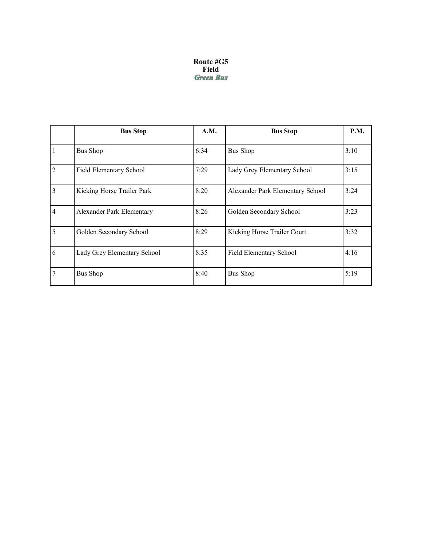#### **Route #G5 Field**

|                | <b>Bus Stop</b>             | A.M. | <b>Bus Stop</b>                  | <b>P.M.</b> |
|----------------|-----------------------------|------|----------------------------------|-------------|
|                | <b>Bus Shop</b>             | 6:34 | <b>Bus Shop</b>                  | 3:10        |
| $\overline{2}$ | Field Elementary School     | 7:29 | Lady Grey Elementary School      | 3:15        |
| $\overline{3}$ | Kicking Horse Trailer Park  | 8:20 | Alexander Park Elementary School | 3:24        |
| $\overline{4}$ | Alexander Park Elementary   | 8:26 | Golden Secondary School          | 3:23        |
| 5              | Golden Secondary School     | 8:29 | Kicking Horse Trailer Court      | 3:32        |
| 6              | Lady Grey Elementary School | 8:35 | Field Elementary School          | 4:16        |
| 7              | <b>Bus Shop</b>             | 8:40 | <b>Bus Shop</b>                  | 5:19        |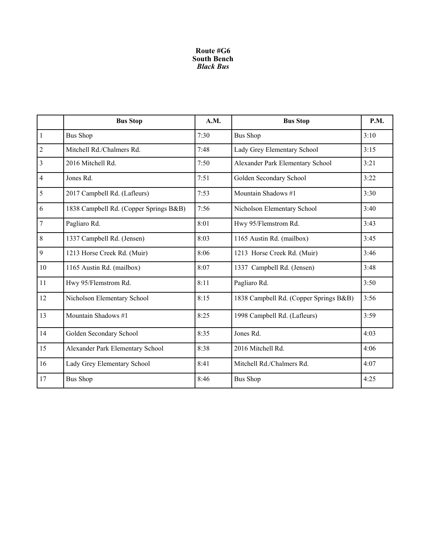#### **Route #G6 South Bench**  *Black Bus*

|                  | <b>Bus Stop</b>                        | A.M. | <b>Bus Stop</b>                        | <b>P.M.</b> |
|------------------|----------------------------------------|------|----------------------------------------|-------------|
| $\overline{1}$   | <b>Bus Shop</b>                        | 7:30 | <b>Bus Shop</b>                        | 3:10        |
| $\overline{2}$   | Mitchell Rd./Chalmers Rd.              | 7:48 | Lady Grey Elementary School            | 3:15        |
| $\overline{3}$   | 2016 Mitchell Rd.                      | 7:50 | Alexander Park Elementary School       | 3:21        |
| $\overline{4}$   | Jones Rd.                              | 7:51 | Golden Secondary School                | 3:22        |
| 5                | 2017 Campbell Rd. (Lafleurs)           | 7:53 | Mountain Shadows #1                    | 3:30        |
| 6                | 1838 Campbell Rd. (Copper Springs B&B) | 7:56 | Nicholson Elementary School            | 3:40        |
| $\boldsymbol{7}$ | Pagliaro Rd.                           | 8:01 | Hwy 95/Flemstrom Rd.                   | 3:43        |
| $8\phantom{.}$   | 1337 Campbell Rd. (Jensen)             | 8:03 | 1165 Austin Rd. (mailbox)              | 3:45        |
| 9                | 1213 Horse Creek Rd. (Muir)            | 8:06 | 1213 Horse Creek Rd. (Muir)            | 3:46        |
| 10               | 1165 Austin Rd. (mailbox)              | 8:07 | 1337 Campbell Rd. (Jensen)             | 3:48        |
| 11               | Hwy 95/Flemstrom Rd.                   | 8:11 | Pagliaro Rd.                           | 3:50        |
| 12               | Nicholson Elementary School            | 8:15 | 1838 Campbell Rd. (Copper Springs B&B) | 3:56        |
| 13               | Mountain Shadows #1                    | 8:25 | 1998 Campbell Rd. (Lafleurs)           | 3:59        |
| 14               | Golden Secondary School                | 8:35 | Jones Rd.                              | 4:03        |
| 15               | Alexander Park Elementary School       | 8:38 | 2016 Mitchell Rd.                      | 4:06        |
| 16               | Lady Grey Elementary School            | 8:41 | Mitchell Rd./Chalmers Rd.              | 4:07        |
| 17               | <b>Bus Shop</b>                        | 8:46 | <b>Bus Shop</b>                        | 4:25        |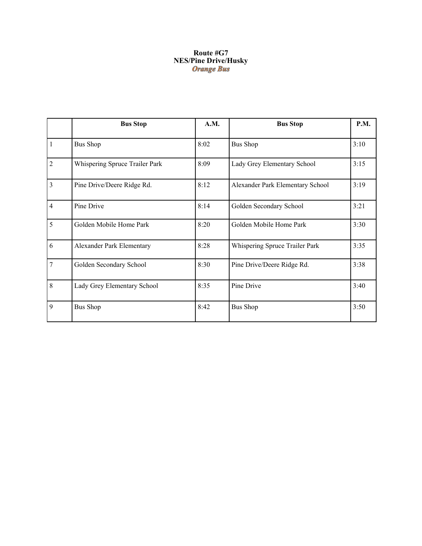#### **Route #G7 NES/Pine Drive/Husky**

|                | <b>Bus Stop</b>                | A.M. | <b>Bus Stop</b>                  | <b>P.M.</b> |
|----------------|--------------------------------|------|----------------------------------|-------------|
| $\mathbf{1}$   | <b>Bus Shop</b>                | 8:02 | <b>Bus Shop</b>                  | 3:10        |
| $\overline{2}$ | Whispering Spruce Trailer Park | 8:09 | Lady Grey Elementary School      | 3:15        |
| $\overline{3}$ | Pine Drive/Deere Ridge Rd.     | 8:12 | Alexander Park Elementary School | 3:19        |
| $\overline{4}$ | Pine Drive                     | 8:14 | Golden Secondary School          | 3:21        |
| 5              | Golden Mobile Home Park        | 8:20 | Golden Mobile Home Park          | 3:30        |
| 6              | Alexander Park Elementary      | 8:28 | Whispering Spruce Trailer Park   | 3:35        |
| $\overline{7}$ | Golden Secondary School        | 8:30 | Pine Drive/Deere Ridge Rd.       | 3:38        |
| 8              | Lady Grey Elementary School    | 8:35 | Pine Drive                       | 3:40        |
| 9              | <b>Bus Shop</b>                | 8:42 | <b>Bus Shop</b>                  | 3:50        |